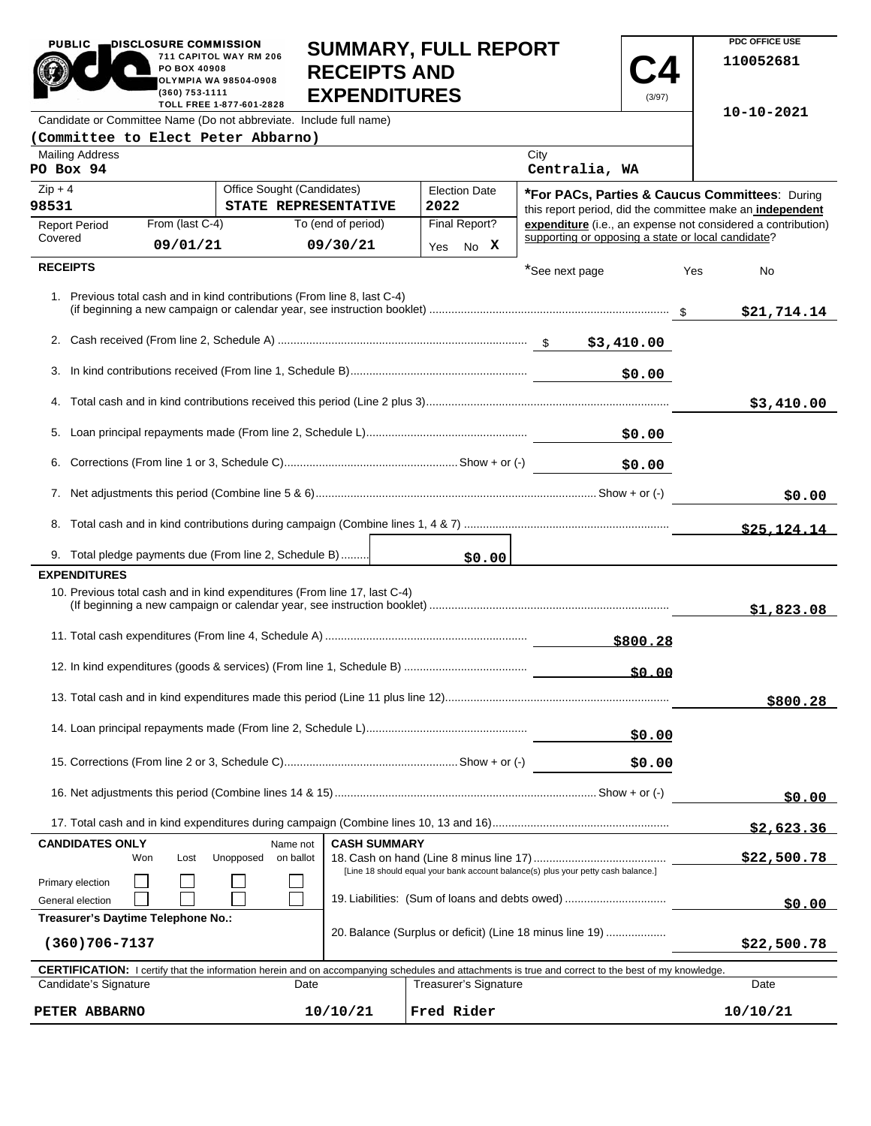| <b>PUBLIC</b><br>DISCLOSURE COMMISSION                                                                                                              | PO BOX 40908<br>(360) 753-1111                                                                 | 711 CAPITOL WAY RM 206<br>OLYMPIA WA 98504-0908<br>TOLL FREE 1-877-601-2828 | <b>SUMMARY, FULL REPORT</b><br><b>RECEIPTS AND</b><br><b>EXPENDITURES</b> |  |            |                       |                                                                                                                                     | (3/97)       |             | PDC OFFICE USE<br>110052681                                                                                               |
|-----------------------------------------------------------------------------------------------------------------------------------------------------|------------------------------------------------------------------------------------------------|-----------------------------------------------------------------------------|---------------------------------------------------------------------------|--|------------|-----------------------|-------------------------------------------------------------------------------------------------------------------------------------|--------------|-------------|---------------------------------------------------------------------------------------------------------------------------|
| Candidate or Committee Name (Do not abbreviate. Include full name)                                                                                  |                                                                                                |                                                                             |                                                                           |  |            |                       |                                                                                                                                     |              |             | $10 - 10 - 2021$                                                                                                          |
| (Committee to Elect Peter Abbarno)                                                                                                                  |                                                                                                |                                                                             |                                                                           |  |            |                       |                                                                                                                                     |              |             |                                                                                                                           |
| <b>Mailing Address</b><br>PO Box 94                                                                                                                 |                                                                                                |                                                                             |                                                                           |  |            |                       | City<br>Centralia, WA                                                                                                               |              |             |                                                                                                                           |
| $Zip + 4$                                                                                                                                           |                                                                                                | Office Sought (Candidates)                                                  |                                                                           |  |            | <b>Election Date</b>  |                                                                                                                                     |              |             | *For PACs, Parties & Caucus Committees: During                                                                            |
| 98531                                                                                                                                               | From (last C-4)                                                                                | STATE REPRESENTATIVE                                                        | To (end of period)                                                        |  | 2022       | Final Report?         |                                                                                                                                     |              |             | this report period, did the committee make an independent<br>expenditure (i.e., an expense not considered a contribution) |
| <b>Report Period</b><br>Covered                                                                                                                     | 09/01/21                                                                                       |                                                                             | 09/30/21                                                                  |  |            | No X                  | supporting or opposing a state or local candidate?                                                                                  |              |             |                                                                                                                           |
| <b>RECEIPTS</b>                                                                                                                                     |                                                                                                |                                                                             |                                                                           |  | Yes        |                       |                                                                                                                                     |              |             |                                                                                                                           |
| 1. Previous total cash and in kind contributions (From line 8, last C-4)                                                                            |                                                                                                |                                                                             |                                                                           |  |            |                       | *See next page                                                                                                                      |              | Yes         | No<br>\$21,714.14                                                                                                         |
|                                                                                                                                                     |                                                                                                |                                                                             |                                                                           |  |            |                       |                                                                                                                                     |              |             |                                                                                                                           |
|                                                                                                                                                     |                                                                                                |                                                                             |                                                                           |  |            |                       |                                                                                                                                     | \$0.00       |             |                                                                                                                           |
|                                                                                                                                                     |                                                                                                |                                                                             |                                                                           |  |            |                       |                                                                                                                                     |              |             |                                                                                                                           |
|                                                                                                                                                     |                                                                                                |                                                                             |                                                                           |  |            |                       |                                                                                                                                     |              |             | \$3,410.00                                                                                                                |
|                                                                                                                                                     |                                                                                                |                                                                             |                                                                           |  |            |                       |                                                                                                                                     | \$0.00       |             |                                                                                                                           |
| 6.                                                                                                                                                  |                                                                                                |                                                                             |                                                                           |  |            |                       |                                                                                                                                     | \$0.00       |             |                                                                                                                           |
|                                                                                                                                                     |                                                                                                |                                                                             |                                                                           |  |            |                       |                                                                                                                                     |              |             | \$0.00                                                                                                                    |
|                                                                                                                                                     |                                                                                                |                                                                             |                                                                           |  |            |                       |                                                                                                                                     |              |             |                                                                                                                           |
|                                                                                                                                                     |                                                                                                |                                                                             |                                                                           |  |            |                       |                                                                                                                                     |              |             | \$25.124.14                                                                                                               |
| 9. Total pledge payments due (From line 2, Schedule B)<br><b>EXPENDITURES</b>                                                                       |                                                                                                |                                                                             |                                                                           |  |            | \$0.00                |                                                                                                                                     |              |             |                                                                                                                           |
| 10. Previous total cash and in kind expenditures (From line 17, last C-4)                                                                           |                                                                                                |                                                                             |                                                                           |  |            |                       |                                                                                                                                     |              |             | \$1,823.08                                                                                                                |
|                                                                                                                                                     |                                                                                                |                                                                             |                                                                           |  |            |                       |                                                                                                                                     | \$800.28     |             |                                                                                                                           |
|                                                                                                                                                     |                                                                                                |                                                                             |                                                                           |  |            |                       |                                                                                                                                     | <u>50.00</u> |             |                                                                                                                           |
|                                                                                                                                                     |                                                                                                |                                                                             |                                                                           |  |            |                       |                                                                                                                                     |              |             | \$800.28                                                                                                                  |
|                                                                                                                                                     |                                                                                                |                                                                             |                                                                           |  |            |                       |                                                                                                                                     | \$0.00       |             |                                                                                                                           |
|                                                                                                                                                     |                                                                                                |                                                                             |                                                                           |  |            |                       |                                                                                                                                     | \$0.00       |             |                                                                                                                           |
|                                                                                                                                                     |                                                                                                |                                                                             |                                                                           |  |            |                       |                                                                                                                                     |              |             | \$0.00                                                                                                                    |
|                                                                                                                                                     |                                                                                                |                                                                             |                                                                           |  |            |                       |                                                                                                                                     |              |             | \$2,623.36                                                                                                                |
| <b>CANDIDATES ONLY</b><br>Won                                                                                                                       | Lost                                                                                           | Name not<br>Unopposed<br>on ballot                                          | <b>CASH SUMMARY</b>                                                       |  |            |                       |                                                                                                                                     |              |             | \$22,500.78                                                                                                               |
| Primary election<br>General election                                                                                                                |                                                                                                |                                                                             |                                                                           |  |            |                       | [Line 18 should equal your bank account balance(s) plus your petty cash balance.]<br>19. Liabilities: (Sum of loans and debts owed) |              |             | \$0.00                                                                                                                    |
| $(360)706 - 7137$                                                                                                                                   | Treasurer's Daytime Telephone No.:<br>20. Balance (Surplus or deficit) (Line 18 minus line 19) |                                                                             |                                                                           |  |            |                       |                                                                                                                                     |              | \$22,500.78 |                                                                                                                           |
| CERTIFICATION: I certify that the information herein and on accompanying schedules and attachments is true and correct to the best of my knowledge. |                                                                                                |                                                                             |                                                                           |  |            |                       |                                                                                                                                     |              |             |                                                                                                                           |
| Candidate's Signature                                                                                                                               |                                                                                                | Date                                                                        |                                                                           |  |            | Treasurer's Signature |                                                                                                                                     |              |             | Date                                                                                                                      |
| PETER ABBARNO                                                                                                                                       |                                                                                                |                                                                             | 10/10/21                                                                  |  | Fred Rider |                       |                                                                                                                                     |              |             | 10/10/21                                                                                                                  |